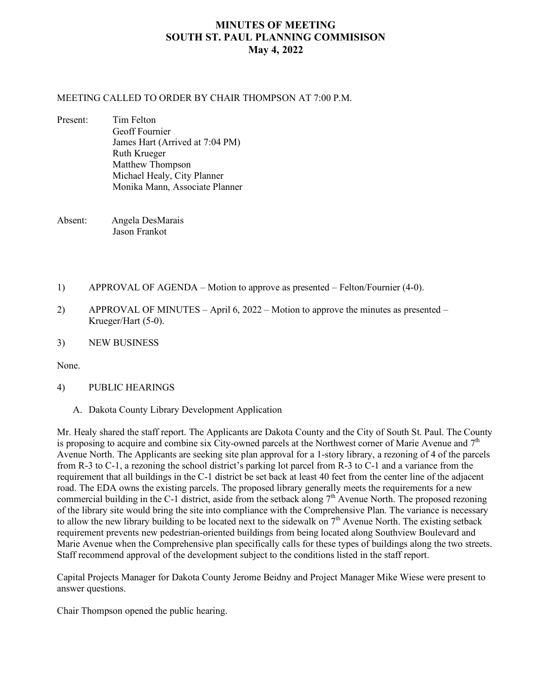## **MINUTES OF MEETING SOUTH ST. PAUL PLANNING COMMISISON May 4, 2022**

## MEETING CALLED TO ORDER BY CHAIR THOMPSON AT 7:00 P.M.

Present: Tim Felton Geoff Fournier James Hart (Arrived at 7:04 PM) Ruth Krueger Matthew Thompson Michael Healy, City Planner Monika Mann, Associate Planner

Absent: Angela DesMarais Jason Frankot

- 1) APPROVAL OF AGENDA Motion to approve as presented Felton/Fournier (4-0).
- 2) APPROVAL OF MINUTES April 6, 2022 Motion to approve the minutes as presented Krueger/Hart (5-0).
- 3) NEW BUSINESS

None.

- 4) PUBLIC HEARINGS
	- A. Dakota County Library Development Application

Mr. Healy shared the staff report. The Applicants are Dakota County and the City of South St. Paul. The County is proposing to acquire and combine six City-owned parcels at the Northwest corner of Marie Avenue and  $7<sup>th</sup>$ Avenue North. The Applicants are seeking site plan approval for a 1-story library, a rezoning of 4 of the parcels from R-3 to C-1, a rezoning the school district's parking lot parcel from R-3 to C-1 and a variance from the requirement that all buildings in the C-1 district be set back at least 40 feet from the center line of the adjacent road. The EDA owns the existing parcels. The proposed library generally meets the requirements for a new commercial building in the C-1 district, aside from the setback along  $7<sup>th</sup>$  Avenue North. The proposed rezoning of the library site would bring the site into compliance with the Comprehensive Plan. The variance is necessary to allow the new library building to be located next to the sidewalk on  $7<sup>th</sup>$  Avenue North. The existing setback requirement prevents new pedestrian-oriented buildings from being located along Southview Boulevard and Marie Avenue when the Comprehensive plan specifically calls for these types of buildings along the two streets. Staff recommend approval of the development subject to the conditions listed in the staff report.

Capital Projects Manager for Dakota County Jerome Beidny and Project Manager Mike Wiese were present to answer questions.

Chair Thompson opened the public hearing.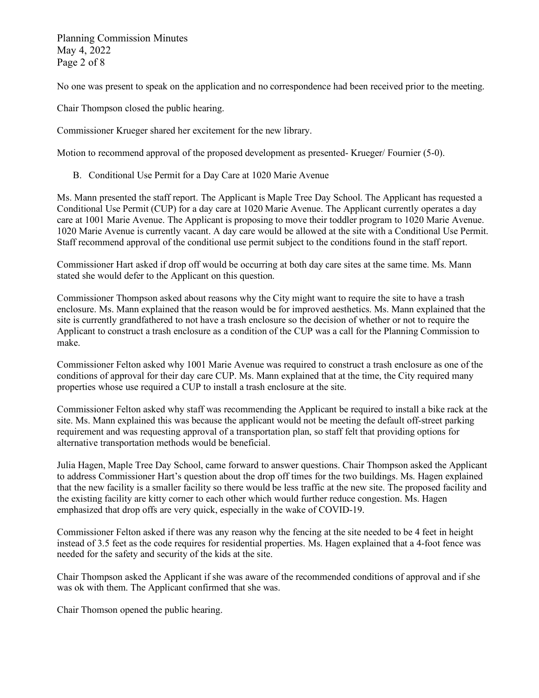Planning Commission Minutes May 4, 2022 Page 2 of 8

No one was present to speak on the application and no correspondence had been received prior to the meeting.

Chair Thompson closed the public hearing.

Commissioner Krueger shared her excitement for the new library.

Motion to recommend approval of the proposed development as presented- Krueger/ Fournier (5-0).

B. Conditional Use Permit for a Day Care at 1020 Marie Avenue

Ms. Mann presented the staff report. The Applicant is Maple Tree Day School. The Applicant has requested a Conditional Use Permit (CUP) for a day care at 1020 Marie Avenue. The Applicant currently operates a day care at 1001 Marie Avenue. The Applicant is proposing to move their toddler program to 1020 Marie Avenue. 1020 Marie Avenue is currently vacant. A day care would be allowed at the site with a Conditional Use Permit. Staff recommend approval of the conditional use permit subject to the conditions found in the staff report.

Commissioner Hart asked if drop off would be occurring at both day care sites at the same time. Ms. Mann stated she would defer to the Applicant on this question.

Commissioner Thompson asked about reasons why the City might want to require the site to have a trash enclosure. Ms. Mann explained that the reason would be for improved aesthetics. Ms. Mann explained that the site is currently grandfathered to not have a trash enclosure so the decision of whether or not to require the Applicant to construct a trash enclosure as a condition of the CUP was a call for the Planning Commission to make.

Commissioner Felton asked why 1001 Marie Avenue was required to construct a trash enclosure as one of the conditions of approval for their day care CUP. Ms. Mann explained that at the time, the City required many properties whose use required a CUP to install a trash enclosure at the site.

Commissioner Felton asked why staff was recommending the Applicant be required to install a bike rack at the site. Ms. Mann explained this was because the applicant would not be meeting the default off-street parking requirement and was requesting approval of a transportation plan, so staff felt that providing options for alternative transportation methods would be beneficial.

Julia Hagen, Maple Tree Day School, came forward to answer questions. Chair Thompson asked the Applicant to address Commissioner Hart's question about the drop off times for the two buildings. Ms. Hagen explained that the new facility is a smaller facility so there would be less traffic at the new site. The proposed facility and the existing facility are kitty corner to each other which would further reduce congestion. Ms. Hagen emphasized that drop offs are very quick, especially in the wake of COVID-19.

Commissioner Felton asked if there was any reason why the fencing at the site needed to be 4 feet in height instead of 3.5 feet as the code requires for residential properties. Ms. Hagen explained that a 4-foot fence was needed for the safety and security of the kids at the site.

Chair Thompson asked the Applicant if she was aware of the recommended conditions of approval and if she was ok with them. The Applicant confirmed that she was.

Chair Thomson opened the public hearing.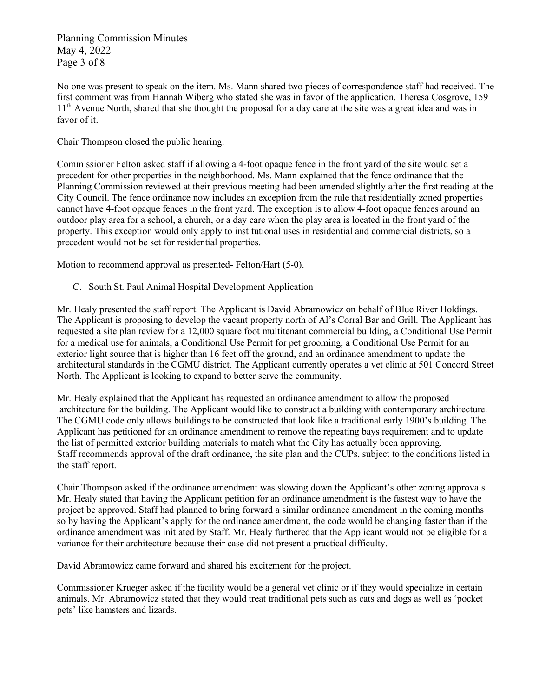Planning Commission Minutes May 4, 2022 Page 3 of 8

No one was present to speak on the item. Ms. Mann shared two pieces of correspondence staff had received. The first comment was from Hannah Wiberg who stated she was in favor of the application. Theresa Cosgrove, 159 1<sup>th</sup> Avenue North, shared that she thought the proposal for a day care at the site was a great idea and was in favor of it.

Chair Thompson closed the public hearing.

Commissioner Felton asked staff if allowing a 4-foot opaque fence in the front yard of the site would set a precedent for other properties in the neighborhood. Ms. Mann explained that the fence ordinance that the Planning Commission reviewed at their previous meeting had been amended slightly after the first reading at the City Council. The fence ordinance now includes an exception from the rule that residentially zoned properties cannot have 4-foot opaque fences in the front yard. The exception is to allow 4-foot opaque fences around an outdoor play area for a school, a church, or a day care when the play area is located in the front yard of the property. This exception would only apply to institutional uses in residential and commercial districts, so a precedent would not be set for residential properties.

Motion to recommend approval as presented- Felton/Hart (5-0).

C. South St. Paul Animal Hospital Development Application

Mr. Healy presented the staff report. The Applicant is David Abramowicz on behalf of Blue River Holdings. The Applicant is proposing to develop the vacant property north of Al's Corral Bar and Grill. The Applicant has requested a site plan review for a 12,000 square foot multitenant commercial building, a Conditional Use Permit for a medical use for animals, a Conditional Use Permit for pet grooming, a Conditional Use Permit for an exterior light source that is higher than 16 feet off the ground, and an ordinance amendment to update the architectural standards in the CGMU district. The Applicant currently operates a vet clinic at 501 Concord Street North. The Applicant is looking to expand to better serve the community.

Mr. Healy explained that the Applicant has requested an ordinance amendment to allow the proposed architecture for the building. The Applicant would like to construct a building with contemporary architecture. The CGMU code only allows buildings to be constructed that look like a traditional early 1900's building. The Applicant has petitioned for an ordinance amendment to remove the repeating bays requirement and to update the list of permitted exterior building materials to match what the City has actually been approving. Staff recommends approval of the draft ordinance, the site plan and the CUPs, subject to the conditions listed in the staff report.

Chair Thompson asked if the ordinance amendment was slowing down the Applicant's other zoning approvals. Mr. Healy stated that having the Applicant petition for an ordinance amendment is the fastest way to have the project be approved. Staff had planned to bring forward a similar ordinance amendment in the coming months so by having the Applicant's apply for the ordinance amendment, the code would be changing faster than if the ordinance amendment was initiated by Staff. Mr. Healy furthered that the Applicant would not be eligible for a variance for their architecture because their case did not present a practical difficulty.

David Abramowicz came forward and shared his excitement for the project.

Commissioner Krueger asked if the facility would be a general vet clinic or if they would specialize in certain animals. Mr. Abramowicz stated that they would treat traditional pets such as cats and dogs as well as 'pocket pets' like hamsters and lizards.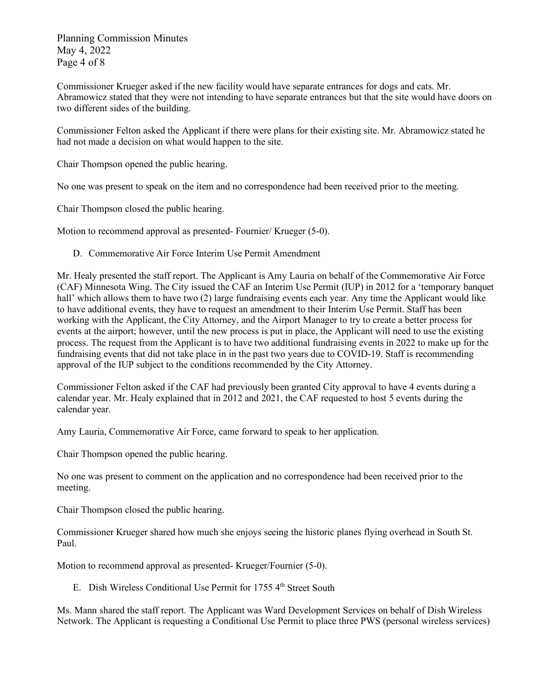Planning Commission Minutes May 4, 2022 Page 4 of 8

Commissioner Krueger asked if the new facility would have separate entrances for dogs and cats. Mr. Abramowicz stated that they were not intending to have separate entrances but that the site would have doors on two different sides of the building.

Commissioner Felton asked the Applicant if there were plans for their existing site. Mr. Abramowicz stated he had not made a decision on what would happen to the site.

Chair Thompson opened the public hearing.

No one was present to speak on the item and no correspondence had been received prior to the meeting.

Chair Thompson closed the public hearing.

Motion to recommend approval as presented- Fournier/ Krueger (5-0).

D. Commemorative Air Force Interim Use Permit Amendment

Mr. Healy presented the staff report. The Applicant is Amy Lauria on behalf of the Commemorative Air Force (CAF) Minnesota Wing. The City issued the CAF an Interim Use Permit (IUP) in 2012 for a 'temporary banquet hall' which allows them to have two (2) large fundraising events each year. Any time the Applicant would like to have additional events, they have to request an amendment to their Interim Use Permit. Staff has been working with the Applicant, the City Attorney, and the Airport Manager to try to create a better process for events at the airport; however, until the new process is put in place, the Applicant will need to use the existing process. The request from the Applicant is to have two additional fundraising events in 2022 to make up for the fundraising events that did not take place in in the past two years due to COVID-19. Staff is recommending approval of the IUP subject to the conditions recommended by the City Attorney.

Commissioner Felton asked if the CAF had previously been granted City approval to have 4 events during a calendar year. Mr. Healy explained that in 2012 and 2021, the CAF requested to host 5 events during the calendar year.

Amy Lauria, Commemorative Air Force, came forward to speak to her application.

Chair Thompson opened the public hearing.

No one was present to comment on the application and no correspondence had been received prior to the meeting.

Chair Thompson closed the public hearing.

Commissioner Krueger shared how much she enjoys seeing the historic planes flying overhead in South St. Paul.

Motion to recommend approval as presented- Krueger/Fournier (5-0).

E. Dish Wireless Conditional Use Permit for  $17554<sup>th</sup>$  Street South

Ms. Mann shared the staff report. The Applicant was Ward Development Services on behalf of Dish Wireless Network. The Applicant is requesting a Conditional Use Permit to place three PWS (personal wireless services)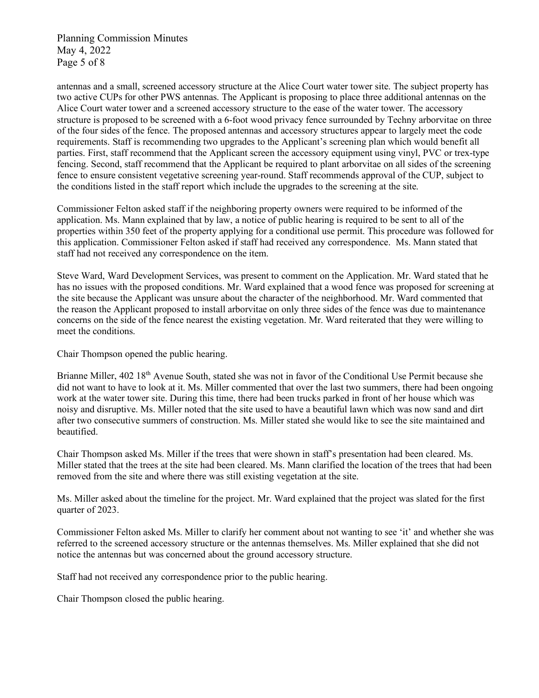Planning Commission Minutes May 4, 2022 Page 5 of 8

antennas and a small, screened accessory structure at the Alice Court water tower site. The subject property has two active CUPs for other PWS antennas. The Applicant is proposing to place three additional antennas on the Alice Court water tower and a screened accessory structure to the ease of the water tower. The accessory structure is proposed to be screened with a 6-foot wood privacy fence surrounded by Techny arborvitae on three of the four sides of the fence. The proposed antennas and accessory structures appear to largely meet the code requirements. Staff is recommending two upgrades to the Applicant's screening plan which would benefit all parties. First, staff recommend that the Applicant screen the accessory equipment using vinyl, PVC or trex-type fencing. Second, staff recommend that the Applicant be required to plant arborvitae on all sides of the screening fence to ensure consistent vegetative screening year-round. Staff recommends approval of the CUP, subject to the conditions listed in the staff report which include the upgrades to the screening at the site.

Commissioner Felton asked staff if the neighboring property owners were required to be informed of the application. Ms. Mann explained that by law, a notice of public hearing is required to be sent to all of the properties within 350 feet of the property applying for a conditional use permit. This procedure was followed for this application. Commissioner Felton asked if staff had received any correspondence. Ms. Mann stated that staff had not received any correspondence on the item.

Steve Ward, Ward Development Services, was present to comment on the Application. Mr. Ward stated that he has no issues with the proposed conditions. Mr. Ward explained that a wood fence was proposed for screening at the site because the Applicant was unsure about the character of the neighborhood. Mr. Ward commented that the reason the Applicant proposed to install arborvitae on only three sides of the fence was due to maintenance concerns on the side of the fence nearest the existing vegetation. Mr. Ward reiterated that they were willing to meet the conditions.

Chair Thompson opened the public hearing.

Brianne Miller, 402 18<sup>th</sup> Avenue South, stated she was not in favor of the Conditional Use Permit because she did not want to have to look at it. Ms. Miller commented that over the last two summers, there had been ongoing work at the water tower site. During this time, there had been trucks parked in front of her house which was noisy and disruptive. Ms. Miller noted that the site used to have a beautiful lawn which was now sand and dirt after two consecutive summers of construction. Ms. Miller stated she would like to see the site maintained and beautified.

Chair Thompson asked Ms. Miller if the trees that were shown in staff's presentation had been cleared. Ms. Miller stated that the trees at the site had been cleared. Ms. Mann clarified the location of the trees that had been removed from the site and where there was still existing vegetation at the site.

Ms. Miller asked about the timeline for the project. Mr. Ward explained that the project was slated for the first quarter of 2023.

Commissioner Felton asked Ms. Miller to clarify her comment about not wanting to see 'it' and whether she was referred to the screened accessory structure or the antennas themselves. Ms. Miller explained that she did not notice the antennas but was concerned about the ground accessory structure.

Staff had not received any correspondence prior to the public hearing.

Chair Thompson closed the public hearing.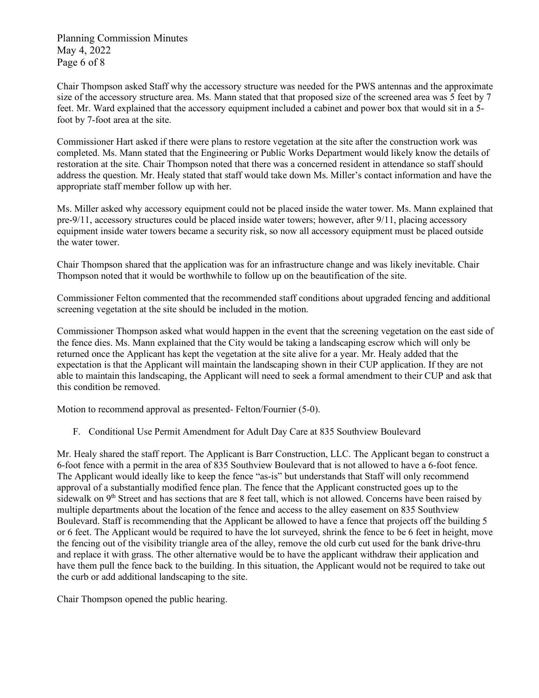Planning Commission Minutes May 4, 2022 Page 6 of 8

Chair Thompson asked Staff why the accessory structure was needed for the PWS antennas and the approximate size of the accessory structure area. Ms. Mann stated that that proposed size of the screened area was 5 feet by 7 feet. Mr. Ward explained that the accessory equipment included a cabinet and power box that would sit in a 5 foot by 7-foot area at the site.

Commissioner Hart asked if there were plans to restore vegetation at the site after the construction work was completed. Ms. Mann stated that the Engineering or Public Works Department would likely know the details of restoration at the site. Chair Thompson noted that there was a concerned resident in attendance so staff should address the question. Mr. Healy stated that staff would take down Ms. Miller's contact information and have the appropriate staff member follow up with her.

Ms. Miller asked why accessory equipment could not be placed inside the water tower. Ms. Mann explained that pre-9/11, accessory structures could be placed inside water towers; however, after 9/11, placing accessory equipment inside water towers became a security risk, so now all accessory equipment must be placed outside the water tower.

Chair Thompson shared that the application was for an infrastructure change and was likely inevitable. Chair Thompson noted that it would be worthwhile to follow up on the beautification of the site.

Commissioner Felton commented that the recommended staff conditions about upgraded fencing and additional screening vegetation at the site should be included in the motion.

Commissioner Thompson asked what would happen in the event that the screening vegetation on the east side of the fence dies. Ms. Mann explained that the City would be taking a landscaping escrow which will only be returned once the Applicant has kept the vegetation at the site alive for a year. Mr. Healy added that the expectation is that the Applicant will maintain the landscaping shown in their CUP application. If they are not able to maintain this landscaping, the Applicant will need to seek a formal amendment to their CUP and ask that this condition be removed.

Motion to recommend approval as presented- Felton/Fournier (5-0).

F. Conditional Use Permit Amendment for Adult Day Care at 835 Southview Boulevard

Mr. Healy shared the staff report. The Applicant is Barr Construction, LLC. The Applicant began to construct a 6-foot fence with a permit in the area of 835 Southview Boulevard that is not allowed to have a 6-foot fence. The Applicant would ideally like to keep the fence "as-is" but understands that Staff will only recommend approval of a substantially modified fence plan. The fence that the Applicant constructed goes up to the sidewalk on 9<sup>th</sup> Street and has sections that are 8 feet tall, which is not allowed. Concerns have been raised by multiple departments about the location of the fence and access to the alley easement on 835 Southview Boulevard. Staff is recommending that the Applicant be allowed to have a fence that projects off the building 5 or 6 feet. The Applicant would be required to have the lot surveyed, shrink the fence to be 6 feet in height, move the fencing out of the visibility triangle area of the alley, remove the old curb cut used for the bank drive-thru and replace it with grass. The other alternative would be to have the applicant withdraw their application and have them pull the fence back to the building. In this situation, the Applicant would not be required to take out the curb or add additional landscaping to the site.

Chair Thompson opened the public hearing.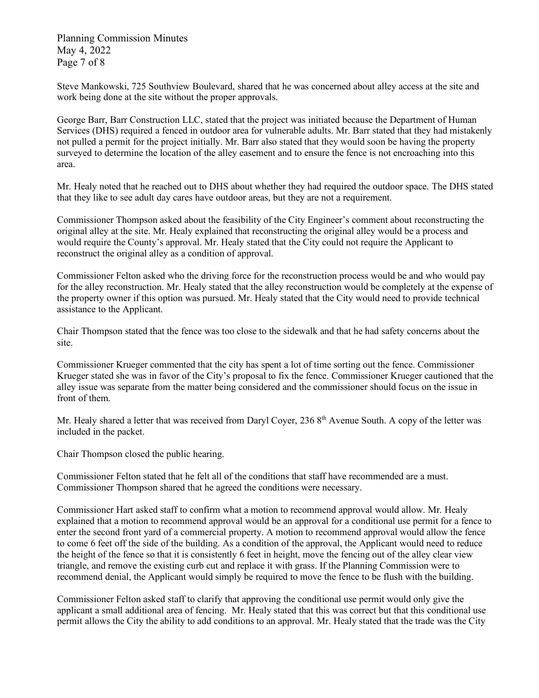Planning Commission Minutes May 4, 2022 Page 7 of 8

Steve Mankowski, 725 Southview Boulevard, shared that he was concerned about alley access at the site and work being done at the site without the proper approvals.

George Barr, Barr Construction LLC, stated that the project was initiated because the Department of Human Services (DHS) required a fenced in outdoor area for vulnerable adults. Mr. Barr stated that they had mistakenly not pulled a permit for the project initially. Mr. Barr also stated that they would soon be having the property surveyed to determine the location of the alley easement and to ensure the fence is not encroaching into this area.

Mr. Healy noted that he reached out to DHS about whether they had required the outdoor space. The DHS stated that they like to see adult day cares have outdoor areas, but they are not a requirement.

Commissioner Thompson asked about the feasibility of the City Engineer's comment about reconstructing the original alley at the site. Mr. Healy explained that reconstructing the original alley would be a process and would require the County's approval. Mr. Healy stated that the City could not require the Applicant to reconstruct the original alley as a condition of approval.

Commissioner Felton asked who the driving force for the reconstruction process would be and who would pay for the alley reconstruction. Mr. Healy stated that the alley reconstruction would be completely at the expense of the property owner if this option was pursued. Mr. Healy stated that the City would need to provide technical assistance to the Applicant.

Chair Thompson stated that the fence was too close to the sidewalk and that he had safety concerns about the site.

Commissioner Krueger commented that the city has spent a lot of time sorting out the fence. Commissioner Krueger stated she was in favor of the City's proposal to fix the fence. Commissioner Krueger cautioned that the alley issue was separate from the matter being considered and the commissioner should focus on the issue in front of them.

Mr. Healy shared a letter that was received from Daryl Coyer, 236  $8<sup>th</sup>$  Avenue South. A copy of the letter was included in the packet.

Chair Thompson closed the public hearing.

Commissioner Felton stated that he felt all of the conditions that staff have recommended are a must. Commissioner Thompson shared that he agreed the conditions were necessary.

Commissioner Hart asked staff to confirm what a motion to recommend approval would allow. Mr. Healy explained that a motion to recommend approval would be an approval for a conditional use permit for a fence to enter the second front yard of a commercial property. A motion to recommend approval would allow the fence to come 6 feet off the side of the building. As a condition of the approval, the Applicant would need to reduce the height of the fence so that it is consistently 6 feet in height, move the fencing out of the alley clear view triangle, and remove the existing curb cut and replace it with grass. If the Planning Commission were to recommend denial, the Applicant would simply be required to move the fence to be flush with the building.

Commissioner Felton asked staff to clarify that approving the conditional use permit would only give the applicant a small additional area of fencing. Mr. Healy stated that this was correct but that this conditional use permit allows the City the ability to add conditions to an approval. Mr. Healy stated that the trade was the City